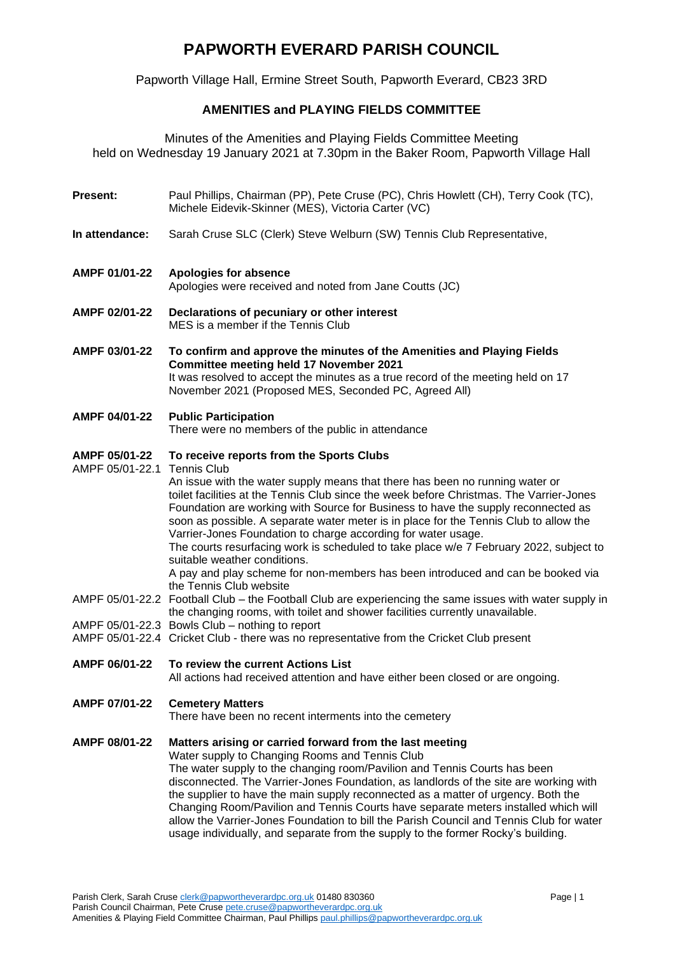# **PAPWORTH EVERARD PARISH COUNCIL**

Papworth Village Hall, Ermine Street South, Papworth Everard, CB23 3RD

# **AMENITIES and PLAYING FIELDS COMMITTEE**

Minutes of the Amenities and Playing Fields Committee Meeting held on Wednesday 19 January 2021 at 7.30pm in the Baker Room, Papworth Village Hall

- **Present:** Paul Phillips, Chairman (PP), Pete Cruse (PC), Chris Howlett (CH), Terry Cook (TC), Michele Eidevik-Skinner (MES), Victoria Carter (VC)
- **In attendance:** Sarah Cruse SLC (Clerk) Steve Welburn (SW) Tennis Club Representative,
- **AMPF 01/01-22 Apologies for absence** Apologies were received and noted from Jane Coutts (JC)
- **AMPF 02/01-22 Declarations of pecuniary or other interest** MES is a member if the Tennis Club
- **AMPF 03/01-22 To confirm and approve the minutes of the Amenities and Playing Fields Committee meeting held 17 November 2021**  It was resolved to accept the minutes as a true record of the meeting held on 17 November 2021 (Proposed MES, Seconded PC, Agreed All)

# **AMPF 04/01-22 Public Participation**

There were no members of the public in attendance

#### **AMPF 05/01-22 To receive reports from the Sports Clubs**

AMPF 05/01-22.1 Tennis Club

An issue with the water supply means that there has been no running water or toilet facilities at the Tennis Club since the week before Christmas. The Varrier-Jones Foundation are working with Source for Business to have the supply reconnected as soon as possible. A separate water meter is in place for the Tennis Club to allow the Varrier-Jones Foundation to charge according for water usage. The courts resurfacing work is scheduled to take place w/e 7 February 2022, subject to suitable weather conditions. A pay and play scheme for non-members has been introduced and can be booked via

the Tennis Club website

- AMPF 05/01-22.2 Football Club the Football Club are experiencing the same issues with water supply in the changing rooms, with toilet and shower facilities currently unavailable.
- AMPF 05/01-22.3 Bowls Club nothing to report
- AMPF 05/01-22.4 Cricket Club there was no representative from the Cricket Club present
- **AMPF 06/01-22 To review the current Actions List**

All actions had received attention and have either been closed or are ongoing.

### **AMPF 07/01-22 Cemetery Matters**

There have been no recent interments into the cemetery

## **AMPF 08/01-22 Matters arising or carried forward from the last meeting**

Water supply to Changing Rooms and Tennis Club The water supply to the changing room/Pavilion and Tennis Courts has been disconnected. The Varrier-Jones Foundation, as landlords of the site are working with the supplier to have the main supply reconnected as a matter of urgency. Both the Changing Room/Pavilion and Tennis Courts have separate meters installed which will allow the Varrier-Jones Foundation to bill the Parish Council and Tennis Club for water usage individually, and separate from the supply to the former Rocky's building.